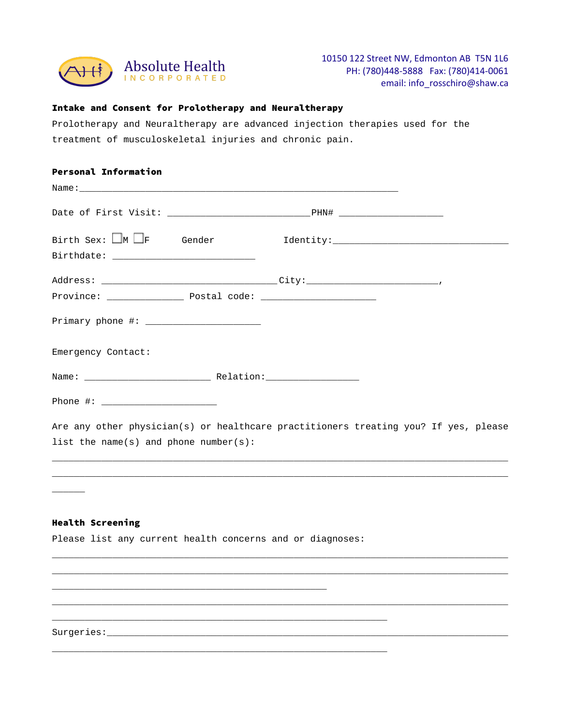

### Intake and Consent for Prolotherapy and Neuraltherapy

Prolotherapy and Neuraltherapy are advanced injection therapies used for the treatment of musculoskeletal injuries and chronic pain.

| Birth Sex: $\Box$ M $\Box$ F Gender                                                                                   |
|-----------------------------------------------------------------------------------------------------------------------|
|                                                                                                                       |
|                                                                                                                       |
|                                                                                                                       |
|                                                                                                                       |
| Emergency Contact:                                                                                                    |
|                                                                                                                       |
|                                                                                                                       |
| Are any other physician(s) or healthcare practitioners treating you? If yes, please                                   |
| list the name(s) and phone number(s):                                                                                 |
|                                                                                                                       |
|                                                                                                                       |
|                                                                                                                       |
| <b>Health Screening</b>                                                                                               |
| Please list any current health concerns and or diagnoses:                                                             |
|                                                                                                                       |
|                                                                                                                       |
| <u> 1989 - Johann Stoff, deutscher Stoff, der Stoff, der Stoff, der Stoff, der Stoff, der Stoff, der Stoff, der S</u> |
| <u> 1989 - Johann Harry Harry Harry Harry Harry Harry Harry Harry Harry Harry Harry Harry Harry Harry Harry Harry</u> |

\_\_\_\_\_\_\_\_\_\_\_\_\_\_\_\_\_\_\_\_\_\_\_\_\_\_\_\_\_\_\_\_\_\_\_\_\_\_\_\_\_\_\_\_\_\_\_\_\_\_\_\_\_\_\_\_\_\_\_\_\_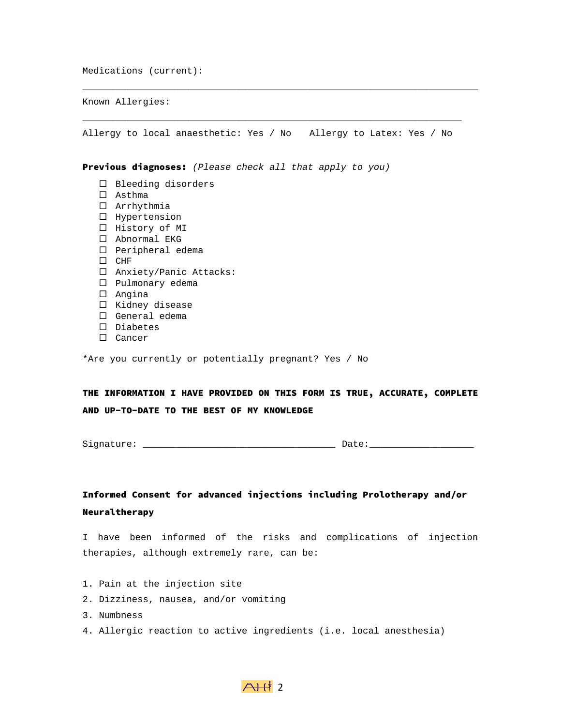Medications (current):

Known Allergies:

 $\overline{\phantom{a}}$  , and the contribution of the contribution of the contribution of the contribution of the contribution of the contribution of the contribution of the contribution of the contribution of the contribution of the Allergy to local anaesthetic: Yes / No Allergy to Latex: Yes / No

 $\mathcal{L}_\mathcal{L} = \mathcal{L}_\mathcal{L} = \mathcal{L}_\mathcal{L} = \mathcal{L}_\mathcal{L} = \mathcal{L}_\mathcal{L} = \mathcal{L}_\mathcal{L} = \mathcal{L}_\mathcal{L} = \mathcal{L}_\mathcal{L} = \mathcal{L}_\mathcal{L} = \mathcal{L}_\mathcal{L} = \mathcal{L}_\mathcal{L} = \mathcal{L}_\mathcal{L} = \mathcal{L}_\mathcal{L} = \mathcal{L}_\mathcal{L} = \mathcal{L}_\mathcal{L} = \mathcal{L}_\mathcal{L} = \mathcal{L}_\mathcal{L}$ 

Previous diagnoses: *(Please check all that apply to you)*

- $\square$  Bleeding disorders
- Asthma
- Arrhythmia
- $\square$  Hypertension
- □ History of MI
- □ Abnormal EKG
- $\square$  Peripheral edema
- $\Box$  CHF
- Anxiety/Panic Attacks:
- □ Pulmonary edema
- Angina
- $\square$  Kidney disease
- □ General edema
- Diabetes
- □ Cancer

\*Are you currently or potentially pregnant? Yes / No

THE INFORMATION I HAVE PROVIDED ON THIS FORM IS TRUE, ACCURATE, COMPLETE AND UP-TO-DATE TO THE BEST OF MY KNOWLEDGE

Signature: \_\_\_\_\_\_\_\_\_\_\_\_\_\_\_\_\_\_\_\_\_\_\_\_\_\_\_\_\_\_\_\_\_\_\_ Date:\_\_\_\_\_\_\_\_\_\_\_\_\_\_\_\_\_\_\_

# Informed Consent for advanced injections including Prolotherapy and/or Neuraltherapy

I have been informed of the risks and complications of injection therapies, although extremely rare, can be:

- 1. Pain at the injection site
- 2. Dizziness, nausea, and/or vomiting
- 3. Numbness
- 4. Allergic reaction to active ingredients (i.e. local anesthesia)

## $A+12$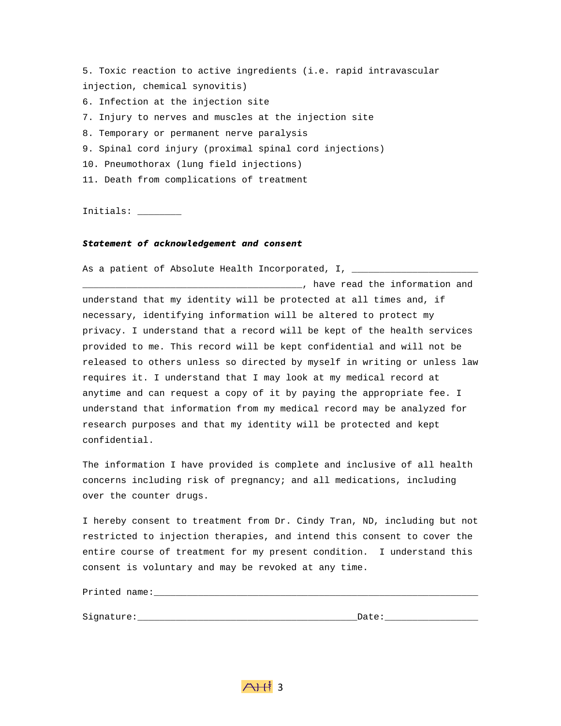5. Toxic reaction to active ingredients (i.e. rapid intravascular injection, chemical synovitis) 6. Infection at the injection site 7. Injury to nerves and muscles at the injection site 8. Temporary or permanent nerve paralysis 9. Spinal cord injury (proximal spinal cord injections) 10. Pneumothorax (lung field injections) 11. Death from complications of treatment

Initials: \_\_\_\_\_\_\_\_

#### *Statement of acknowledgement and consent*

As a patient of Absolute Health Incorporated, I,  $\overline{\phantom{a}}$ 

\_\_\_\_\_\_\_\_\_\_\_\_\_\_\_\_\_\_\_\_\_\_\_\_\_\_\_\_\_\_\_\_\_\_\_\_\_\_\_\_, have read the information and understand that my identity will be protected at all times and, if necessary, identifying information will be altered to protect my privacy. I understand that a record will be kept of the health services provided to me. This record will be kept confidential and will not be released to others unless so directed by myself in writing or unless law requires it. I understand that I may look at my medical record at anytime and can request a copy of it by paying the appropriate fee. I understand that information from my medical record may be analyzed for research purposes and that my identity will be protected and kept confidential.

The information I have provided is complete and inclusive of all health concerns including risk of pregnancy; and all medications, including over the counter drugs.

I hereby consent to treatment from Dr. Cindy Tran, ND, including but not restricted to injection therapies, and intend this consent to cover the entire course of treatment for my present condition. I understand this consent is voluntary and may be revoked at any time.

Printed name:\_\_\_\_\_\_\_\_\_\_\_\_\_\_\_\_\_\_\_\_\_\_\_\_\_\_\_\_\_\_\_\_\_\_\_\_\_\_\_\_\_\_\_\_\_\_\_\_\_\_\_\_\_\_\_\_\_\_\_

Signature:\_\_\_\_\_\_\_\_\_\_\_\_\_\_\_\_\_\_\_\_\_\_\_\_\_\_\_\_\_\_\_\_\_\_\_\_\_\_\_\_Date:\_\_\_\_\_\_\_\_\_\_\_\_\_\_\_\_\_